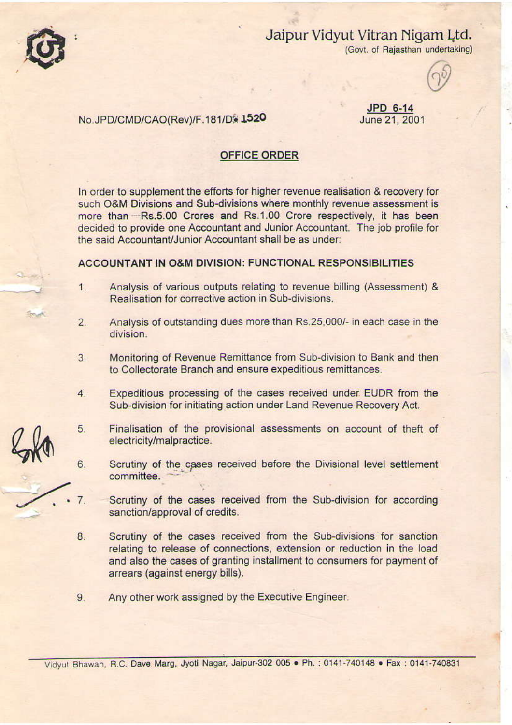

# Jaipur Vidyut Vitran Nigam Ltd.

(Govt. of Rajasthan undertaking)

## No.JPD/CMD/CAO(Rev)/F.181/D\* 1520

#### JPD 6-14 June 21, 2001

## **OFFICE ORDER**

In order to supplement the efforts for higher revenue realisation & recovery for such O&M Divisions and Sub-divisions where monthly revenue assessment is more than Rs.5.00 Crores and Rs.1.00 Crore respectively, it has been decided to provide one Accountant and Junior Accountant. The job profile for the said Accountant/Junior Accountant shall be as under:

## ACCOUNTANT IN O&M DIVISION: FUNCTIONAL RESPONSIBILITIES

- Analysis of various outputs relating to revenue billing (Assessment) &  $1.$ Realisation for corrective action in Sub-divisions.
- Analysis of outstanding dues more than Rs.25,000/- in each case in the  $\overline{2}$ . division.
- Monitoring of Revenue Remittance from Sub-division to Bank and then  $3.$ to Collectorate Branch and ensure expeditious remittances.
- Expeditious processing of the cases received under EUDR from the  $4.$ Sub-division for initiating action under Land Revenue Recovery Act.
- 5. Finalisation of the provisional assessments on account of theft of electricity/malpractice.
- Scrutiny of the cases received before the Divisional level settlement 6. committee.
- Scrutiny of the cases received from the Sub-division for according sanction/approval of credits.
- 8. Scrutiny of the cases received from the Sub-divisions for sanction relating to release of connections, extension or reduction in the load and also the cases of granting installment to consumers for payment of arrears (against energy bills).
- Any other work assigned by the Executive Engineer. 9.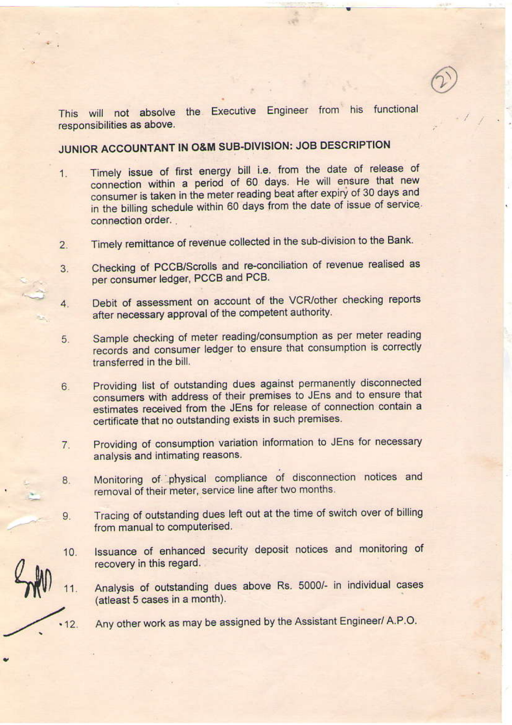This will not absolve the Executive Engineer from his functional responsibilities as above.

# JUNIOR ACCOUNTANT IN O&M SUB-DIVISION: JOB DESCRIPTION

- Timely issue of first energy bill i.e. from the date of release of 1. connection within a period of 60 days. He will ensure that new consumer is taken in the meter reading beat after expiry of 30 days and in the billing schedule within 60 days from the date of issue of service. connection order.
- Timely remittance of revenue collected in the sub-division to the Bank.  $2.$
- Checking of PCCB/Scrolls and re-conciliation of revenue realised as 3. per consumer ledger, PCCB and PCB.
- Debit of assessment on account of the VCR/other checking reports  $\overline{4}$ . after necessary approval of the competent authority.
- Sample checking of meter reading/consumption as per meter reading 5. records and consumer ledger to ensure that consumption is correctly transferred in the bill.
- Providing list of outstanding dues against permanently disconnected  $6<sup>1</sup>$ consumers with address of their premises to JEns and to ensure that estimates received from the JEns for release of connection contain a certificate that no outstanding exists in such premises.
- Providing of consumption variation information to JEns for necessary 7. analysis and intimating reasons.
- Monitoring of physical compliance of disconnection notices and 8. removal of their meter, service line after two months.
- Tracing of outstanding dues left out at the time of switch over of billing 9. from manual to computerised.
- Issuance of enhanced security deposit notices and monitoring of  $10.$ recovery in this regard.
- Analysis of outstanding dues above Rs. 5000/- in individual cases  $11.$ (atleast 5 cases in a month).

Any other work as may be assigned by the Assistant Engineer/ A.P.O.

 $12.$